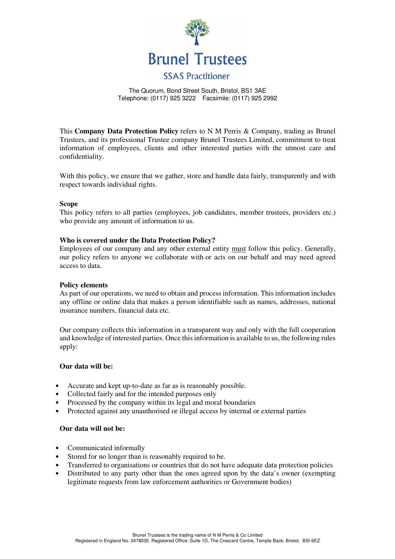

#### The Quorum, Bond Street South, Bristol, BS1 3AE Telephone: (0117) 925 3222 Facsimile: (0117) 925 2992

This **Company Data Protection Policy** refers to N M Perris & Company, trading as Brunel Trustees, and its professional Trustee company Brunel Trustees Limited, commitment to treat information of employees, clients and other interested parties with the utmost care and confidentiality.

With this policy, we ensure that we gather, store and handle data fairly, transparently and with respect towards individual rights.

## **Scope**

This policy refers to all parties (employees, job candidates, member trustees, providers etc.) who provide any amount of information to us.

## **Who is covered under the Data Protection Policy?**

Employees of our company and any other external entity must follow this policy. Generally, our policy refers to anyone we collaborate with or acts on our behalf and may need agreed access to data.

#### **Policy elements**

As part of our operations, we need to obtain and process information. This information includes any offline or online data that makes a person identifiable such as names, addresses, national insurance numbers, financial data etc.

Our company collects this information in a transparent way and only with the full cooperation and knowledge of interested parties. Once this information is available to us, the following rules apply:

### **Our data will be:**

- Accurate and kept up-to-date as far as is reasonably possible.
- Collected fairly and for the intended purposes only
- Processed by the company within its legal and moral boundaries
- Protected against any unauthorised or illegal access by internal or external parties

#### **Our data will not be:**

- Communicated informally
- Stored for no longer than is reasonably required to be.
- Transferred to organisations or countries that do not have adequate data protection policies
- Distributed to any party other than the ones agreed upon by the data's owner (exempting legitimate requests from law enforcement authorities or Government bodies)